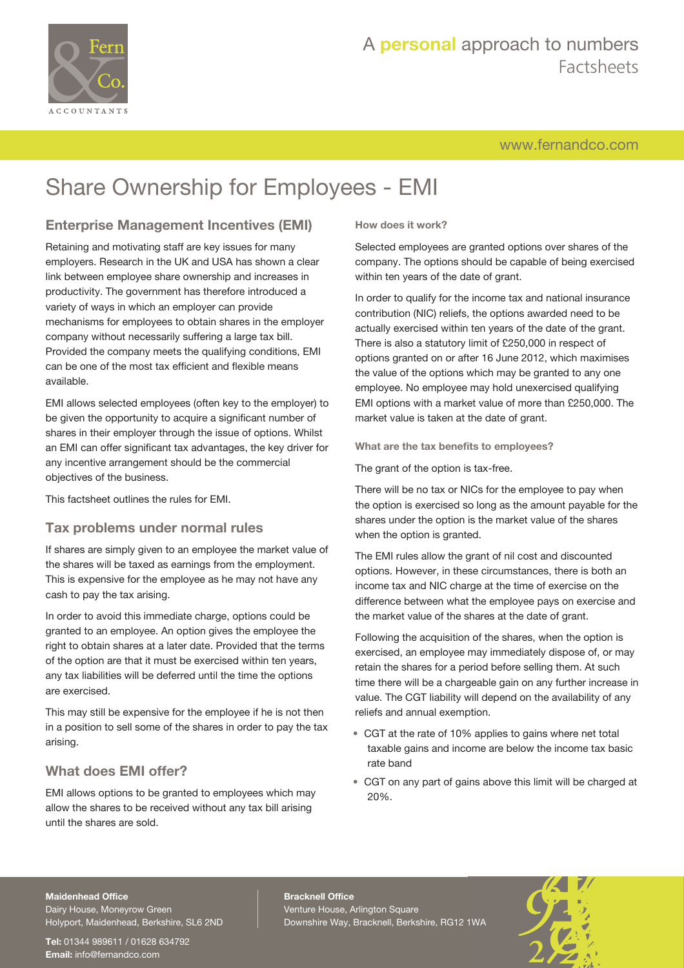

# A **personal** approach to numbers Factsheets

[www.fernandco.com](http://www.fernandco.com)

# Share Ownership for Employees - EMI

## **Enterprise Management Incentives (EMI)**

Retaining and motivating staff are key issues for many employers. Research in the UK and USA has shown a clear link between employee share ownership and increases in productivity. The government has therefore introduced a variety of ways in which an employer can provide mechanisms for employees to obtain shares in the employer company without necessarily suffering a large tax bill. Provided the company meets the qualifying conditions, EMI can be one of the most tax efficient and flexible means available.

EMI allows selected employees (often key to the employer) to be given the opportunity to acquire a significant number of shares in their employer through the issue of options. Whilst an EMI can offer significant tax advantages, the key driver for any incentive arrangement should be the commercial objectives of the business.

This factsheet outlines the rules for EMI.

### **Tax problems under normal rules**

If shares are simply given to an employee the market value of the shares will be taxed as earnings from the employment. This is expensive for the employee as he may not have any cash to pay the tax arising.

In order to avoid this immediate charge, options could be granted to an employee. An option gives the employee the right to obtain shares at a later date. Provided that the terms of the option are that it must be exercised within ten years, any tax liabilities will be deferred until the time the options are exercised.

This may still be expensive for the employee if he is not then in a position to sell some of the shares in order to pay the tax arising.

## **What does EMI offer?**

EMI allows options to be granted to employees which may allow the shares to be received without any tax bill arising until the shares are sold.

#### **How does it work?**

Selected employees are granted options over shares of the company. The options should be capable of being exercised within ten years of the date of grant.

In order to qualify for the income tax and national insurance contribution (NIC) reliefs, the options awarded need to be actually exercised within ten years of the date of the grant. There is also a statutory limit of £250,000 in respect of options granted on or after 16 June 2012, which maximises the value of the options which may be granted to any one employee. No employee may hold unexercised qualifying EMI options with a market value of more than £250,000. The market value is taken at the date of grant.

**What are the tax benefits to employees?**

The grant of the option is tax-free.

There will be no tax or NICs for the employee to pay when the option is exercised so long as the amount payable for the shares under the option is the market value of the shares when the option is granted.

The EMI rules allow the grant of nil cost and discounted options. However, in these circumstances, there is both an income tax and NIC charge at the time of exercise on the difference between what the employee pays on exercise and the market value of the shares at the date of grant.

Following the acquisition of the shares, when the option is exercised, an employee may immediately dispose of, or may retain the shares for a period before selling them. At such time there will be a chargeable gain on any further increase in value. The CGT liability will depend on the availability of any reliefs and annual exemption.

- CGT at the rate of 10% applies to gains where net total taxable gains and income are below the income tax basic rate band
- CGT on any part of gains above this limit will be charged at 20%.

#### **Maidenhead Office**

Dairy House, Moneyrow Green Holyport, Maidenhead, Berkshire, SL6 2ND

**Tel:** 01344 989611 / 01628 634792 **Email:** [info@fernandco.com](mailto:info@fernandco.com)

**Bracknell Office** Venture House, Arlington Square Downshire Way, Bracknell, Berkshire, RG12 1WA

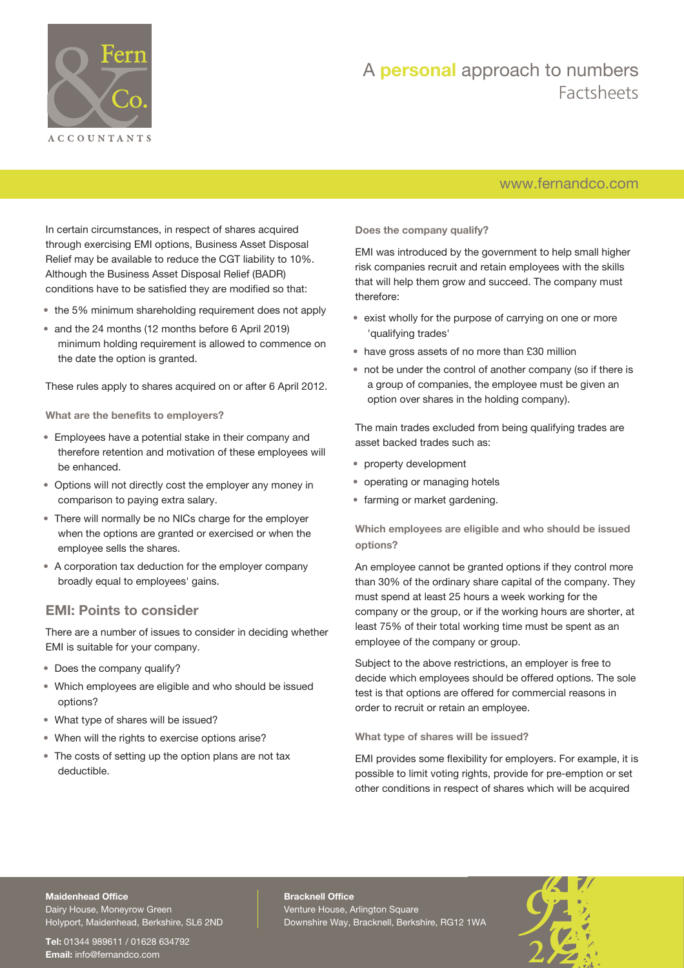

# A **personal** approach to numbers Factsheets

## [www.fernandco.com](http://www.fernandco.com)

In certain circumstances, in respect of shares acquired through exercising EMI options, Business Asset Disposal Relief may be available to reduce the CGT liability to 10%. Although the Business Asset Disposal Relief (BADR) conditions have to be satisfied they are modified so that:

- the 5% minimum shareholding requirement does not apply
- and the 24 months (12 months before 6 April 2019) minimum holding requirement is allowed to commence on the date the option is granted.

These rules apply to shares acquired on or after 6 April 2012.

**What are the benefits to employers?**

- Employees have a potential stake in their company and therefore retention and motivation of these employees will be enhanced.
- Options will not directly cost the employer any money in comparison to paying extra salary.
- There will normally be no NICs charge for the employer when the options are granted or exercised or when the employee sells the shares.
- A corporation tax deduction for the employer company broadly equal to employees' gains.

#### **EMI: Points to consider**

There are a number of issues to consider in deciding whether EMI is suitable for your company.

- Does the company qualify?
- Which employees are eligible and who should be issued options?
- What type of shares will be issued?
- When will the rights to exercise options arise?
- The costs of setting up the option plans are not tax deductible.

**Does the company qualify?**

EMI was introduced by the government to help small higher risk companies recruit and retain employees with the skills that will help them grow and succeed. The company must therefore:

- exist wholly for the purpose of carrying on one or more 'qualifying trades'
- have gross assets of no more than £30 million
- not be under the control of another company (so if there is a group of companies, the employee must be given an option over shares in the holding company).

The main trades excluded from being qualifying trades are asset backed trades such as:

- property development
- operating or managing hotels
- farming or market gardening.

**Which employees are eligible and who should be issued options?**

An employee cannot be granted options if they control more than 30% of the ordinary share capital of the company. They must spend at least 25 hours a week working for the company or the group, or if the working hours are shorter, at least 75% of their total working time must be spent as an employee of the company or group.

Subject to the above restrictions, an employer is free to decide which employees should be offered options. The sole test is that options are offered for commercial reasons in order to recruit or retain an employee.

**What type of shares will be issued?**

EMI provides some flexibility for employers. For example, it is possible to limit voting rights, provide for pre-emption or set other conditions in respect of shares which will be acquired

#### **Maidenhead Office**

Dairy House, Moneyrow Green Holyport, Maidenhead, Berkshire, SL6 2ND

**Tel:** 01344 989611 / 01628 634792 **Email:** [info@fernandco.com](mailto:info@fernandco.com)

**Bracknell Office** Venture House, Arlington Square Downshire Way, Bracknell, Berkshire, RG12 1WA